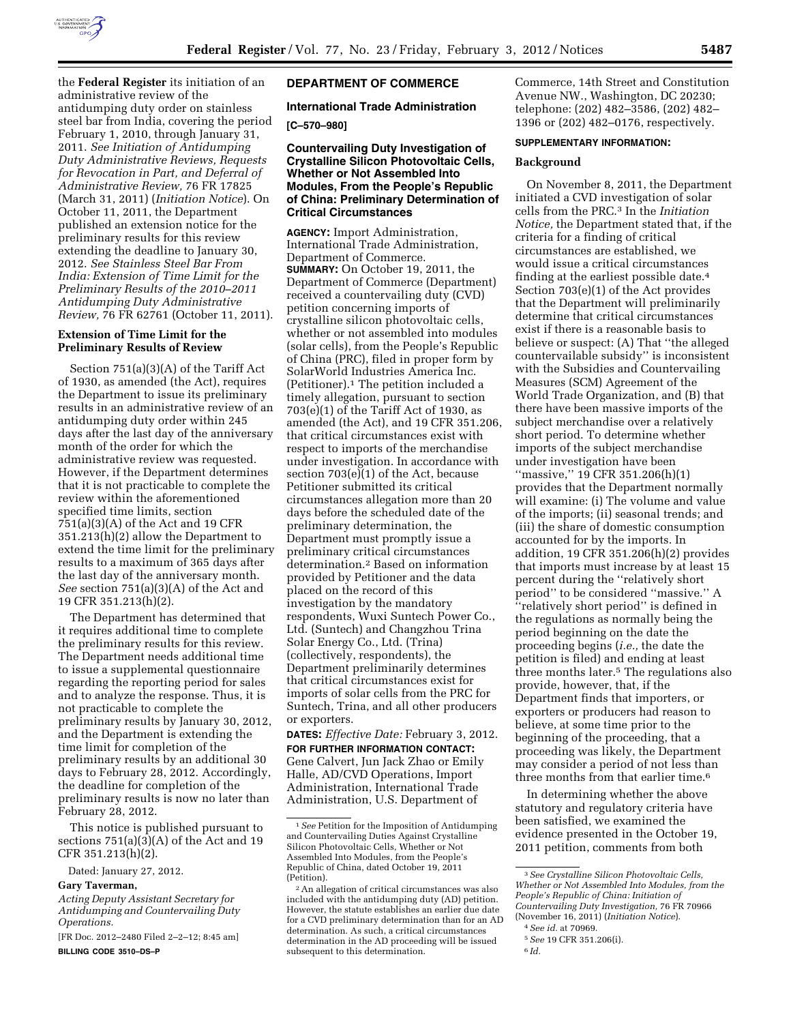

the **Federal Register** its initiation of an administrative review of the antidumping duty order on stainless steel bar from India, covering the period February 1, 2010, through January 31, 2011. *See Initiation of Antidumping Duty Administrative Reviews, Requests for Revocation in Part, and Deferral of Administrative Review,* 76 FR 17825 (March 31, 2011) (*Initiation Notice*). On October 11, 2011, the Department published an extension notice for the preliminary results for this review extending the deadline to January 30, 2012. *See Stainless Steel Bar From India: Extension of Time Limit for the Preliminary Results of the 2010–2011 Antidumping Duty Administrative Review,* 76 FR 62761 (October 11, 2011).

# **Extension of Time Limit for the Preliminary Results of Review**

Section 751(a)(3)(A) of the Tariff Act of 1930, as amended (the Act), requires the Department to issue its preliminary results in an administrative review of an antidumping duty order within 245 days after the last day of the anniversary month of the order for which the administrative review was requested. However, if the Department determines that it is not practicable to complete the review within the aforementioned specified time limits, section 751(a)(3)(A) of the Act and 19 CFR 351.213(h)(2) allow the Department to extend the time limit for the preliminary results to a maximum of 365 days after the last day of the anniversary month. *See* section 751(a)(3)(A) of the Act and 19 CFR 351.213(h)(2).

The Department has determined that it requires additional time to complete the preliminary results for this review. The Department needs additional time to issue a supplemental questionnaire regarding the reporting period for sales and to analyze the response. Thus, it is not practicable to complete the preliminary results by January 30, 2012, and the Department is extending the time limit for completion of the preliminary results by an additional 30 days to February 28, 2012. Accordingly, the deadline for completion of the preliminary results is now no later than February 28, 2012.

This notice is published pursuant to sections 751(a)(3)(A) of the Act and 19 CFR 351.213(h)(2).

Dated: January 27, 2012.

#### **Gary Taverman,**

*Acting Deputy Assistant Secretary for Antidumping and Countervailing Duty Operations.* 

[FR Doc. 2012–2480 Filed 2–2–12; 8:45 am] **BILLING CODE 3510–DS–P** 

# **DEPARTMENT OF COMMERCE**

# **International Trade Administration**

### **[C–570–980]**

### **Countervailing Duty Investigation of Crystalline Silicon Photovoltaic Cells, Whether or Not Assembled Into Modules, From the People's Republic of China: Preliminary Determination of Critical Circumstances**

**AGENCY:** Import Administration, International Trade Administration, Department of Commerce. **SUMMARY:** On October 19, 2011, the Department of Commerce (Department) received a countervailing duty (CVD) petition concerning imports of crystalline silicon photovoltaic cells, whether or not assembled into modules (solar cells), from the People's Republic of China (PRC), filed in proper form by SolarWorld Industries America Inc. (Petitioner).1 The petition included a timely allegation, pursuant to section 703(e)(1) of the Tariff Act of 1930, as amended (the Act), and 19 CFR 351.206, that critical circumstances exist with respect to imports of the merchandise under investigation. In accordance with section  $703(e)(1)$  of the Act, because Petitioner submitted its critical circumstances allegation more than 20 days before the scheduled date of the preliminary determination, the Department must promptly issue a preliminary critical circumstances determination.2 Based on information provided by Petitioner and the data placed on the record of this investigation by the mandatory respondents, Wuxi Suntech Power Co., Ltd. (Suntech) and Changzhou Trina Solar Energy Co., Ltd. (Trina) (collectively, respondents), the Department preliminarily determines that critical circumstances exist for imports of solar cells from the PRC for Suntech, Trina, and all other producers or exporters.

**DATES:** *Effective Date:* February 3, 2012.

**FOR FURTHER INFORMATION CONTACT:**  Gene Calvert, Jun Jack Zhao or Emily Halle, AD/CVD Operations, Import Administration, International Trade Administration, U.S. Department of

Commerce, 14th Street and Constitution Avenue NW., Washington, DC 20230; telephone: (202) 482–3586, (202) 482– 1396 or (202) 482–0176, respectively.

### **SUPPLEMENTARY INFORMATION:**

#### **Background**

On November 8, 2011, the Department initiated a CVD investigation of solar cells from the PRC.3 In the *Initiation Notice,* the Department stated that, if the criteria for a finding of critical circumstances are established, we would issue a critical circumstances finding at the earliest possible date.4 Section 703(e)(1) of the Act provides that the Department will preliminarily determine that critical circumstances exist if there is a reasonable basis to believe or suspect: (A) That ''the alleged countervailable subsidy'' is inconsistent with the Subsidies and Countervailing Measures (SCM) Agreement of the World Trade Organization, and (B) that there have been massive imports of the subject merchandise over a relatively short period. To determine whether imports of the subject merchandise under investigation have been ''massive,'' 19 CFR 351.206(h)(1) provides that the Department normally will examine: (i) The volume and value of the imports; (ii) seasonal trends; and (iii) the share of domestic consumption accounted for by the imports. In addition, 19 CFR 351.206(h)(2) provides that imports must increase by at least 15 percent during the ''relatively short period'' to be considered ''massive.'' A ''relatively short period'' is defined in the regulations as normally being the period beginning on the date the proceeding begins (*i.e.,* the date the petition is filed) and ending at least three months later.5 The regulations also provide, however, that, if the Department finds that importers, or exporters or producers had reason to believe, at some time prior to the beginning of the proceeding, that a proceeding was likely, the Department may consider a period of not less than three months from that earlier time.6

In determining whether the above statutory and regulatory criteria have been satisfied, we examined the evidence presented in the October 19, 2011 petition, comments from both

<sup>1</sup>*See* Petition for the Imposition of Antidumping and Countervailing Duties Against Crystalline Silicon Photovoltaic Cells, Whether or Not Assembled Into Modules, from the People's Republic of China, dated October 19, 2011 (Petition).

<sup>2</sup>An allegation of critical circumstances was also included with the antidumping duty (AD) petition. However, the statute establishes an earlier due date for a CVD preliminary determination than for an AD determination. As such, a critical circumstances determination in the AD proceeding will be issued subsequent to this determination.

<sup>3</sup>*See Crystalline Silicon Photovoltaic Cells, Whether or Not Assembled Into Modules, from the People's Republic of China: Initiation of Countervailing Duty Investigation,* 76 FR 70966 (November 16, 2011) (*Initiation Notice*).

<sup>4</sup>*See id.* at 70969.

<sup>5</sup>*See* 19 CFR 351.206(i).

<sup>6</sup> *Id.*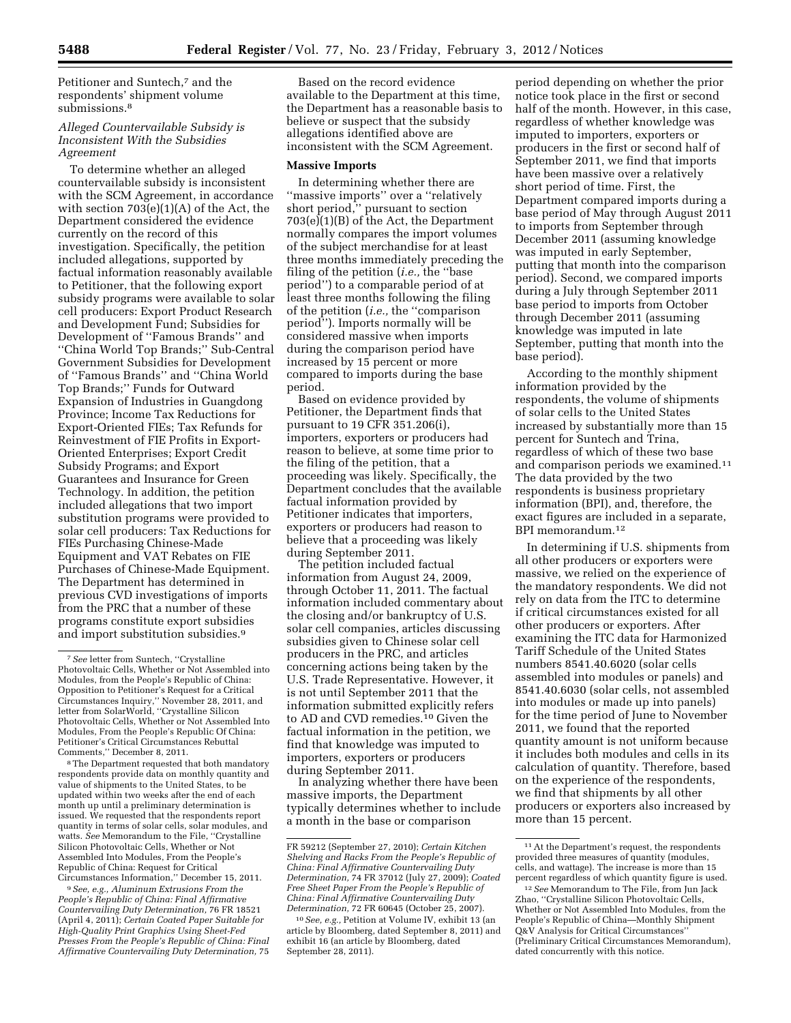Petitioner and Suntech,<sup>7</sup> and the respondents' shipment volume submissions.8

# *Alleged Countervailable Subsidy is Inconsistent With the Subsidies Agreement*

To determine whether an alleged countervailable subsidy is inconsistent with the SCM Agreement, in accordance with section  $703(e)(1)(A)$  of the Act, the Department considered the evidence currently on the record of this investigation. Specifically, the petition included allegations, supported by factual information reasonably available to Petitioner, that the following export subsidy programs were available to solar cell producers: Export Product Research and Development Fund; Subsidies for Development of ''Famous Brands'' and ''China World Top Brands;'' Sub-Central Government Subsidies for Development of ''Famous Brands'' and ''China World Top Brands;'' Funds for Outward Expansion of Industries in Guangdong Province; Income Tax Reductions for Export-Oriented FIEs; Tax Refunds for Reinvestment of FIE Profits in Export-Oriented Enterprises; Export Credit Subsidy Programs; and Export Guarantees and Insurance for Green Technology. In addition, the petition included allegations that two import substitution programs were provided to solar cell producers: Tax Reductions for FIEs Purchasing Chinese-Made Equipment and VAT Rebates on FIE Purchases of Chinese-Made Equipment. The Department has determined in previous CVD investigations of imports from the PRC that a number of these programs constitute export subsidies and import substitution subsidies.9

8The Department requested that both mandatory respondents provide data on monthly quantity and value of shipments to the United States, to be updated within two weeks after the end of each month up until a preliminary determination is issued. We requested that the respondents report quantity in terms of solar cells, solar modules, and watts. *See* Memorandum to the File, ''Crystalline Silicon Photovoltaic Cells, Whether or Not Assembled Into Modules, From the People's Republic of China: Request for Critical Circumstances Information,'' December 15, 2011.

9*See, e.g., Aluminum Extrusions From the People's Republic of China: Final Affirmative Countervailing Duty Determination,* 76 FR 18521 (April 4, 2011); *Certain Coated Paper Suitable for High-Quality Print Graphics Using Sheet-Fed Presses From the People's Republic of China: Final Affirmative Countervailing Duty Determination,* 75

Based on the record evidence available to the Department at this time, the Department has a reasonable basis to believe or suspect that the subsidy allegations identified above are inconsistent with the SCM Agreement.

#### **Massive Imports**

In determining whether there are ''massive imports'' over a ''relatively short period,'' pursuant to section 703(e)(1)(B) of the Act, the Department normally compares the import volumes of the subject merchandise for at least three months immediately preceding the filing of the petition (*i.e.,* the ''base period'') to a comparable period of at least three months following the filing of the petition (*i.e.,* the ''comparison period''). Imports normally will be considered massive when imports during the comparison period have increased by 15 percent or more compared to imports during the base period.

Based on evidence provided by Petitioner, the Department finds that pursuant to 19 CFR 351.206(i), importers, exporters or producers had reason to believe, at some time prior to the filing of the petition, that a proceeding was likely. Specifically, the Department concludes that the available factual information provided by Petitioner indicates that importers, exporters or producers had reason to believe that a proceeding was likely during September 2011.

The petition included factual information from August 24, 2009, through October 11, 2011. The factual information included commentary about the closing and/or bankruptcy of U.S. solar cell companies, articles discussing subsidies given to Chinese solar cell producers in the PRC, and articles concerning actions being taken by the U.S. Trade Representative. However, it is not until September 2011 that the information submitted explicitly refers to AD and CVD remedies.10 Given the factual information in the petition, we find that knowledge was imputed to importers, exporters or producers during September 2011.

In analyzing whether there have been massive imports, the Department typically determines whether to include a month in the base or comparison

period depending on whether the prior notice took place in the first or second half of the month. However, in this case, regardless of whether knowledge was imputed to importers, exporters or producers in the first or second half of September 2011, we find that imports have been massive over a relatively short period of time. First, the Department compared imports during a base period of May through August 2011 to imports from September through December 2011 (assuming knowledge was imputed in early September, putting that month into the comparison period). Second, we compared imports during a July through September 2011 base period to imports from October through December 2011 (assuming knowledge was imputed in late September, putting that month into the base period).

According to the monthly shipment information provided by the respondents, the volume of shipments of solar cells to the United States increased by substantially more than 15 percent for Suntech and Trina, regardless of which of these two base and comparison periods we examined.11 The data provided by the two respondents is business proprietary information (BPI), and, therefore, the exact figures are included in a separate, BPI memorandum.12

In determining if U.S. shipments from all other producers or exporters were massive, we relied on the experience of the mandatory respondents. We did not rely on data from the ITC to determine if critical circumstances existed for all other producers or exporters. After examining the ITC data for Harmonized Tariff Schedule of the United States numbers 8541.40.6020 (solar cells assembled into modules or panels) and 8541.40.6030 (solar cells, not assembled into modules or made up into panels) for the time period of June to November 2011, we found that the reported quantity amount is not uniform because it includes both modules and cells in its calculation of quantity. Therefore, based on the experience of the respondents, we find that shipments by all other producers or exporters also increased by more than 15 percent.

<sup>7</sup>*See* letter from Suntech, ''Crystalline Photovoltaic Cells, Whether or Not Assembled into Modules, from the People's Republic of China: Opposition to Petitioner's Request for a Critical Circumstances Inquiry,'' November 28, 2011, and letter from SolarWorld, ''Crystalline Silicon Photovoltaic Cells, Whether or Not Assembled Into Modules, From the People's Republic Of China: Petitioner's Critical Circumstances Rebuttal Comments,'' December 8, 2011.

FR 59212 (September 27, 2010); *Certain Kitchen Shelving and Racks From the People's Republic of China: Final Affirmative Countervailing Duty Determination,* 74 FR 37012 (July 27, 2009); *Coated Free Sheet Paper From the People's Republic of China: Final Affirmative Countervailing Duty Determination,* 72 FR 60645 (October 25, 2007).

<sup>10</sup>*See, e.g.,* Petition at Volume IV, exhibit 13 (an article by Bloomberg, dated September 8, 2011) and exhibit 16 (an article by Bloomberg, dated September 28, 2011).

<sup>11</sup>At the Department's request, the respondents provided three measures of quantity (modules, cells, and wattage). The increase is more than 15 percent regardless of which quantity figure is used.

<sup>12</sup>*See* Memorandum to The File, from Jun Jack Zhao, ''Crystalline Silicon Photovoltaic Cells, Whether or Not Assembled Into Modules, from the People's Republic of China—Monthly Shipment Q&V Analysis for Critical Circumstances'' (Preliminary Critical Circumstances Memorandum), dated concurrently with this notice.